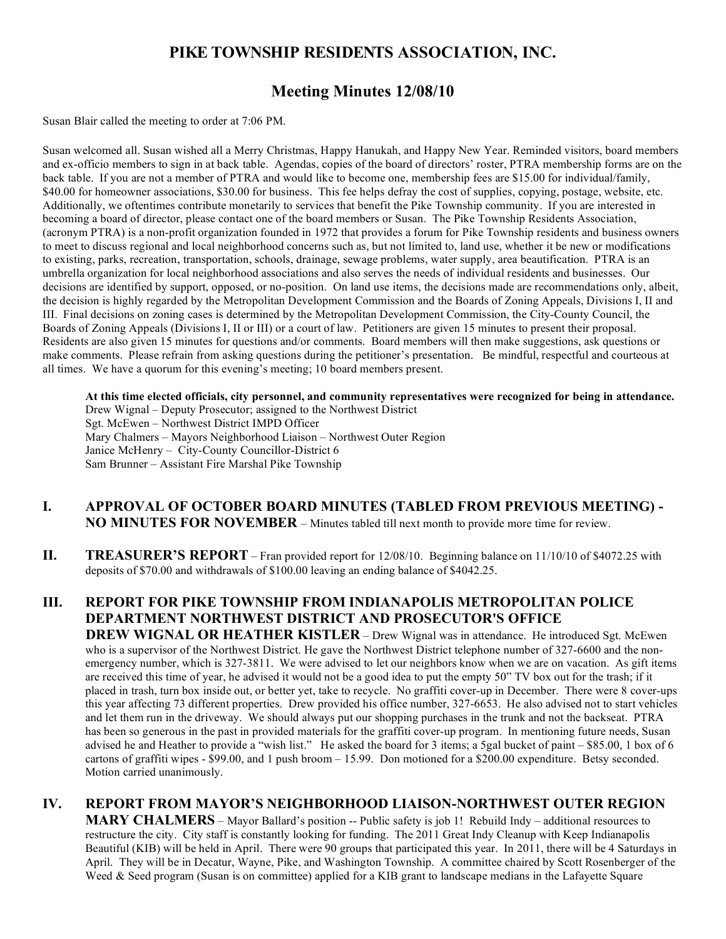# **PIKE TOWNSHIP RESIDENTS ASSOCIATION, INC.**

# **Meeting Minutes 12/08/10**

Susan Blair called the meeting to order at 7:06 PM.

Susan welcomed all. Susan wished all a Merry Christmas, Happy Hanukah, and Happy New Year. Reminded visitors, board members and ex-officio members to sign in at back table. Agendas, copies of the board of directors' roster, PTRA membership forms are on the back table. If you are not a member of PTRA and would like to become one, membership fees are \$15.00 for individual/family, \$40.00 for homeowner associations, \$30.00 for business. This fee helps defray the cost of supplies, copying, postage, website, etc. Additionally, we oftentimes contribute monetarily to services that benefit the Pike Township community. If you are interested in becoming a board of director, please contact one of the board members or Susan. The Pike Township Residents Association, (acronym PTRA) is a non-profit organization founded in 1972 that provides a forum for Pike Township residents and business owners to meet to discuss regional and local neighborhood concerns such as, but not limited to, land use, whether it be new or modifications to existing, parks, recreation, transportation, schools, drainage, sewage problems, water supply, area beautification. PTRA is an umbrella organization for local neighborhood associations and also serves the needs of individual residents and businesses. Our decisions are identified by support, opposed, or no-position. On land use items, the decisions made are recommendations only, albeit, the decision is highly regarded by the Metropolitan Development Commission and the Boards of Zoning Appeals, Divisions I, II and III. Final decisions on zoning cases is determined by the Metropolitan Development Commission, the City-County Council, the Boards of Zoning Appeals (Divisions I, II or III) or a court of law. Petitioners are given 15 minutes to present their proposal. Residents are also given 15 minutes for questions and/or comments. Board members will then make suggestions, ask questions or make comments. Please refrain from asking questions during the petitioner's presentation. Be mindful, respectful and courteous at all times. We have a quorum for this evening's meeting; 10 board members present.

**At this time elected officials, city personnel, and community representatives were recognized for being in attendance.** Drew Wignal – Deputy Prosecutor; assigned to the Northwest District Sgt. McEwen – Northwest District IMPD Officer Mary Chalmers – Mayors Neighborhood Liaison – Northwest Outer Region Janice McHenry – City-County Councillor-District 6 Sam Brunner – Assistant Fire Marshal Pike Township

- **I. APPROVAL OF OCTOBER BOARD MINUTES (TABLED FROM PREVIOUS MEETING) - NO MINUTES FOR NOVEMBER** – Minutes tabled till next month to provide more time for review.
- **II. TREASURER'S REPORT** Fran provided report for 12/08/10. Beginning balance on 11/10/10 of \$4072.25 with deposits of \$70.00 and withdrawals of \$100.00 leaving an ending balance of \$4042.25.

# **III. REPORT FOR PIKE TOWNSHIP FROM INDIANAPOLIS METROPOLITAN POLICE DEPARTMENT NORTHWEST DISTRICT AND PROSECUTOR'S OFFICE**

**DREW WIGNAL OR HEATHER KISTLER** – Drew Wignal was in attendance. He introduced Sgt. McEwen who is a supervisor of the Northwest District. He gave the Northwest District telephone number of 327-6600 and the nonemergency number, which is 327-3811. We were advised to let our neighbors know when we are on vacation. As gift items are received this time of year, he advised it would not be a good idea to put the empty 50" TV box out for the trash; if it placed in trash, turn box inside out, or better yet, take to recycle. No graffiti cover-up in December. There were 8 cover-ups this year affecting 73 different properties. Drew provided his office number, 327-6653. He also advised not to start vehicles and let them run in the driveway. We should always put our shopping purchases in the trunk and not the backseat. PTRA has been so generous in the past in provided materials for the graffiti cover-up program. In mentioning future needs, Susan advised he and Heather to provide a "wish list." He asked the board for 3 items; a 5gal bucket of paint – \$85.00, 1 box of 6 cartons of graffiti wipes - \$99.00, and 1 push broom – 15.99. Don motioned for a \$200.00 expenditure. Betsy seconded. Motion carried unanimously.

# **IV. REPORT FROM MAYOR'S NEIGHBORHOOD LIAISON-NORTHWEST OUTER REGION**

MARY CHALMERS – Mayor Ballard's position -- Public safety is job 1! Rebuild Indy – additional resources to restructure the city. City staff is constantly looking for funding. The 2011 Great Indy Cleanup with Keep Indianapolis Beautiful (KIB) will be held in April. There were 90 groups that participated this year. In 2011, there will be 4 Saturdays in April. They will be in Decatur, Wayne, Pike, and Washington Township. A committee chaired by Scott Rosenberger of the Weed & Seed program (Susan is on committee) applied for a KIB grant to landscape medians in the Lafayette Square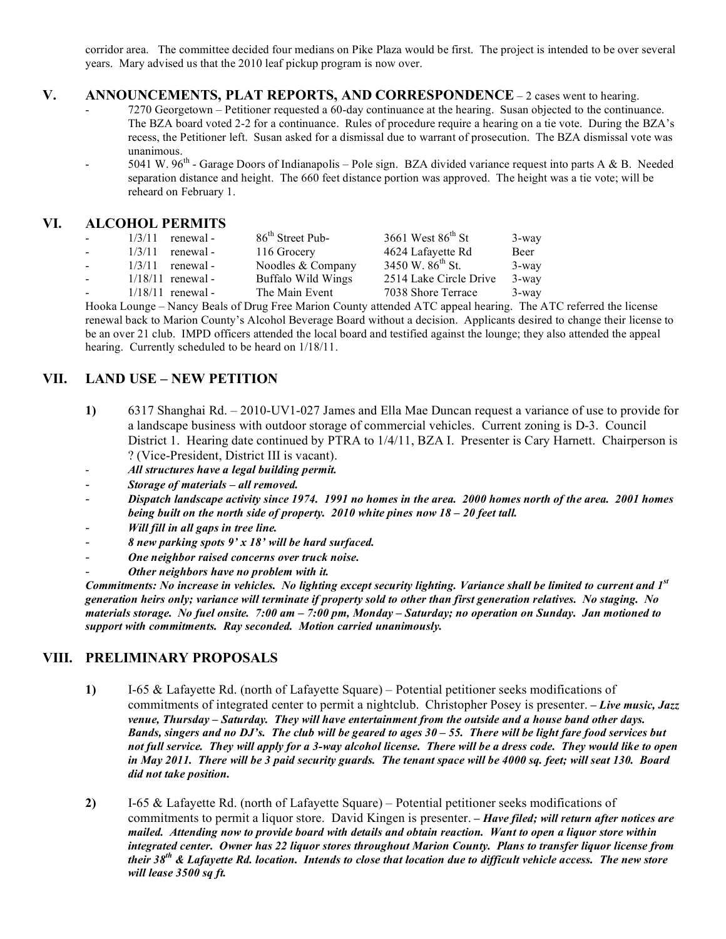corridor area. The committee decided four medians on Pike Plaza would be first. The project is intended to be over several years. Mary advised us that the 2010 leaf pickup program is now over.

#### **V. ANNOUNCEMENTS, PLAT REPORTS, AND CORRESPONDENCE** – 2 cases went to hearing.

- 7270 Georgetown Petitioner requested a 60-day continuance at the hearing. Susan objected to the continuance. The BZA board voted 2-2 for a continuance. Rules of procedure require a hearing on a tie vote. During the BZA's recess, the Petitioner left. Susan asked for a dismissal due to warrant of prosecution. The BZA dismissal vote was unanimous.
- 5041 W.  $96<sup>th</sup>$  Garage Doors of Indianapolis Pole sign. BZA divided variance request into parts A & B. Needed separation distance and height. The 660 feet distance portion was approved. The height was a tie vote; will be reheard on February 1.

### **VI. ALCOHOL PERMITS**

| <b>Contract Contract</b> | $1/3/11$ renewal -  | 86 <sup>th</sup> Street Pub- | 3661 West $86^{\text{th}}$ St | 3-way    |
|--------------------------|---------------------|------------------------------|-------------------------------|----------|
| $\sim 10^{-10}$          | renewal -<br>1/3/11 | 116 Grocery                  | 4624 Lafayette Rd             | Beer     |
| $\sim$ 10 $\pm$          | renewal -<br>1/3/11 | Noodles & Company            | 3450 W. $86^{th}$ St.         | 3-way    |
| $\sim$ 10 $\pm$          | $1/18/11$ renewal - | <b>Buffalo Wild Wings</b>    | 2514 Lake Circle Drive        | 3-way    |
| $\sim 10^{-1}$           | $1/18/11$ renewal - | The Main Event               | 7038 Shore Terrace            | $3$ -way |

Hooka Lounge – Nancy Beals of Drug Free Marion County attended ATC appeal hearing. The ATC referred the license renewal back to Marion County's Alcohol Beverage Board without a decision. Applicants desired to change their license to be an over 21 club. IMPD officers attended the local board and testified against the lounge; they also attended the appeal hearing. Currently scheduled to be heard on 1/18/11.

## **VII. LAND USE – NEW PETITION**

- **1)** 6317 Shanghai Rd. 2010-UV1-027 James and Ella Mae Duncan request a variance of use to provide for a landscape business with outdoor storage of commercial vehicles. Current zoning is D-3. Council District 1. Hearing date continued by PTRA to 1/4/11, BZA I. Presenter is Cary Harnett. Chairperson is ? (Vice-President, District III is vacant).
- *All structures have a legal building permit.*
- *Storage of materials all removed.*
- *Dispatch landscape activity since 1974. 1991 no homes in the area. 2000 homes north of the area. 2001 homes being built on the north side of property. 2010 white pines now 18 – 20 feet tall.*
- *Will fill in all gaps in tree line.*
- *8 new parking spots 9' x 18' will be hard surfaced.*
- *One neighbor raised concerns over truck noise.*
- *Other neighbors have no problem with it.*

*Commitments: No increase in vehicles. No lighting except security lighting. Variance shall be limited to current and 1st generation heirs only; variance will terminate if property sold to other than first generation relatives. No staging. No materials storage. No fuel onsite. 7:00 am – 7:00 pm, Monday – Saturday; no operation on Sunday. Jan motioned to support with commitments. Ray seconded. Motion carried unanimously.*

### **VIII. PRELIMINARY PROPOSALS**

- **1)** I-65 & Lafayette Rd. (north of Lafayette Square) Potential petitioner seeks modifications of commitments of integrated center to permit a nightclub. Christopher Posey is presenter. *– Live music, Jazz venue, Thursday – Saturday. They will have entertainment from the outside and a house band other days. Bands, singers and no DJ's. The club will be geared to ages 30 – 55. There will be light fare food services but not full service. They will apply for a 3-way alcohol license. There will be a dress code. They would like to open in May 2011. There will be 3 paid security guards. The tenant space will be 4000 sq. feet; will seat 130. Board did not take position.*
- **2)** I-65 & Lafayette Rd. (north of Lafayette Square) Potential petitioner seeks modifications of commitments to permit a liquor store. David Kingen is presenter. *– Have filed; will return after notices are mailed. Attending now to provide board with details and obtain reaction. Want to open a liquor store within integrated center. Owner has 22 liquor stores throughout Marion County. Plans to transfer liquor license from their 38th & Lafayette Rd. location. Intends to close that location due to difficult vehicle access. The new store will lease 3500 sq ft.*